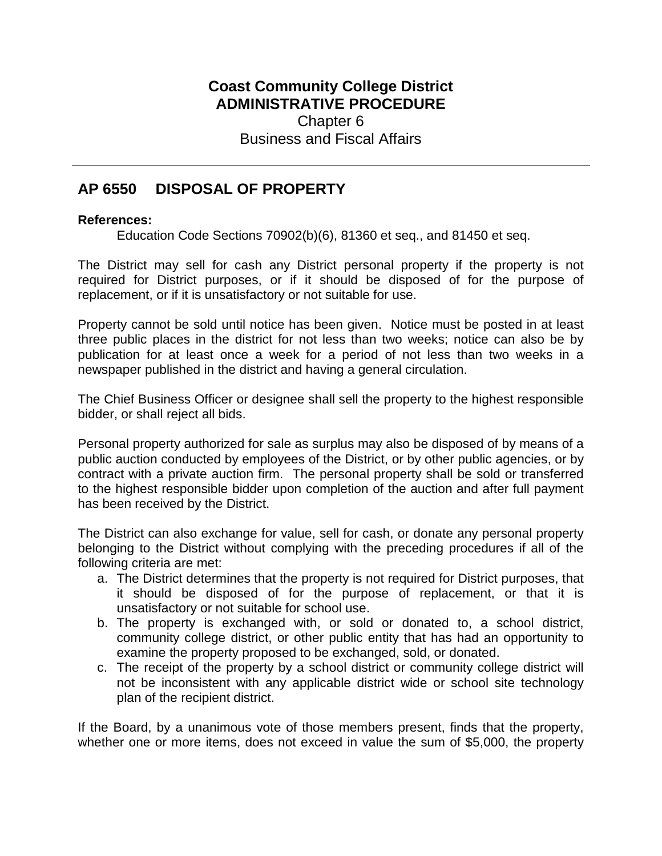## **Coast Community College District ADMINISTRATIVE PROCEDURE** Chapter 6 Business and Fiscal Affairs

## **AP 6550 DISPOSAL OF PROPERTY**

## **References:**

Education Code Sections 70902(b)(6), 81360 et seq., and 81450 et seq.

The District may sell for cash any District personal property if the property is not required for District purposes, or if it should be disposed of for the purpose of replacement, or if it is unsatisfactory or not suitable for use.

Property cannot be sold until notice has been given. Notice must be posted in at least three public places in the district for not less than two weeks; notice can also be by publication for at least once a week for a period of not less than two weeks in a newspaper published in the district and having a general circulation.

The Chief Business Officer or designee shall sell the property to the highest responsible bidder, or shall reject all bids.

Personal property authorized for sale as surplus may also be disposed of by means of a public auction conducted by employees of the District, or by other public agencies, or by contract with a private auction firm. The personal property shall be sold or transferred to the highest responsible bidder upon completion of the auction and after full payment has been received by the District.

The District can also exchange for value, sell for cash, or donate any personal property belonging to the District without complying with the preceding procedures if all of the following criteria are met:

- a. The District determines that the property is not required for District purposes, that it should be disposed of for the purpose of replacement, or that it is unsatisfactory or not suitable for school use.
- b. The property is exchanged with, or sold or donated to, a school district, community college district, or other public entity that has had an opportunity to examine the property proposed to be exchanged, sold, or donated.
- c. The receipt of the property by a school district or community college district will not be inconsistent with any applicable district wide or school site technology plan of the recipient district.

If the Board, by a unanimous vote of those members present, finds that the property, whether one or more items, does not exceed in value the sum of \$5,000, the property